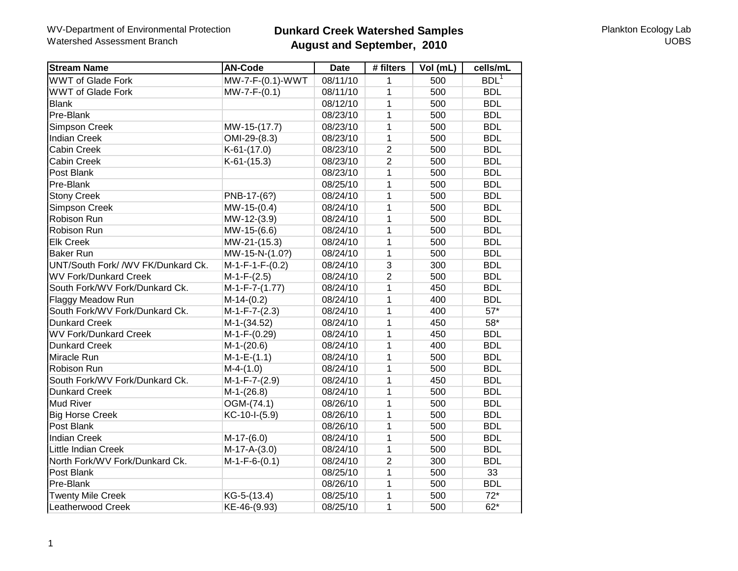# **Dunkard Creek Watershed Samples August and September, 2010**

| <b>Stream Name</b>                 | <b>AN-Code</b>    | <b>Date</b> | # filters      | Vol (mL) | cells/mL         |
|------------------------------------|-------------------|-------------|----------------|----------|------------------|
| <b>WWT of Glade Fork</b>           | MW-7-F-(0.1)-WWT  | 08/11/10    | 1              | 500      | BDL <sup>1</sup> |
| <b>WWT of Glade Fork</b>           | $MW-7-F-(0.1)$    | 08/11/10    | $\mathbf{1}$   | 500      | <b>BDL</b>       |
| <b>Blank</b>                       |                   | 08/12/10    | $\mathbf{1}$   | 500      | <b>BDL</b>       |
| Pre-Blank                          |                   | 08/23/10    | $\mathbf{1}$   | 500      | <b>BDL</b>       |
| Simpson Creek                      | MW-15-(17.7)      | 08/23/10    | $\mathbf{1}$   | 500      | <b>BDL</b>       |
| <b>Indian Creek</b>                | OMI-29-(8.3)      | 08/23/10    | $\mathbf{1}$   | 500      | <b>BDL</b>       |
| <b>Cabin Creek</b>                 | $K-61-(17.0)$     | 08/23/10    | $\overline{2}$ | 500      | <b>BDL</b>       |
| <b>Cabin Creek</b>                 | $K-61-(15.3)$     | 08/23/10    | $\overline{2}$ | 500      | <b>BDL</b>       |
| Post Blank                         |                   | 08/23/10    | $\mathbf{1}$   | 500      | <b>BDL</b>       |
| Pre-Blank                          |                   | 08/25/10    | $\mathbf{1}$   | 500      | <b>BDL</b>       |
| <b>Stony Creek</b>                 | PNB-17-(6?)       | 08/24/10    | $\mathbf{1}$   | 500      | <b>BDL</b>       |
| <b>Simpson Creek</b>               | $MW-15-(0.4)$     | 08/24/10    | $\mathbf{1}$   | 500      | <b>BDL</b>       |
| Robison Run                        | MW-12-(3.9)       | 08/24/10    | $\mathbf{1}$   | 500      | <b>BDL</b>       |
| Robison Run                        | MW-15-(6.6)       | 08/24/10    | $\mathbf{1}$   | 500      | <b>BDL</b>       |
| <b>Elk Creek</b>                   | MW-21-(15.3)      | 08/24/10    | $\mathbf{1}$   | 500      | <b>BDL</b>       |
| <b>Baker Run</b>                   | MW-15-N-(1.0?)    | 08/24/10    | $\mathbf{1}$   | 500      | <b>BDL</b>       |
| UNT/South Fork/ /WV FK/Dunkard Ck. | $M-1-F-1-F-(0.2)$ | 08/24/10    | $\overline{3}$ | 300      | <b>BDL</b>       |
| <b>WV Fork/Dunkard Creek</b>       | $M-1-F-(2.5)$     | 08/24/10    | $\overline{2}$ | 500      | <b>BDL</b>       |
| South Fork/WV Fork/Dunkard Ck.     | $M-1-F-7-(1.77)$  | 08/24/10    | $\overline{1}$ | 450      | <b>BDL</b>       |
| <b>Flaggy Meadow Run</b>           | $M-14-(0.2)$      | 08/24/10    | $\mathbf{1}$   | 400      | <b>BDL</b>       |
| South Fork/WV Fork/Dunkard Ck.     | $M-1-F-7-(2.3)$   | 08/24/10    | $\mathbf{1}$   | 400      | $57*$            |
| <b>Dunkard Creek</b>               | $M-1-(34.52)$     | 08/24/10    | 1              | 450      | $58*$            |
| <b>WV Fork/Dunkard Creek</b>       | $M-1-F-(0.29)$    | 08/24/10    | $\mathbf{1}$   | 450      | <b>BDL</b>       |
| <b>Dunkard Creek</b>               | $M-1-(20.6)$      | 08/24/10    | $\mathbf{1}$   | 400      | <b>BDL</b>       |
| Miracle Run                        | $M-1-E-(1.1)$     | 08/24/10    | $\mathbf{1}$   | 500      | <b>BDL</b>       |
| Robison Run                        | $M-4-(1.0)$       | 08/24/10    | $\mathbf{1}$   | 500      | <b>BDL</b>       |
| South Fork/WV Fork/Dunkard Ck.     | $M-1-F-7-(2.9)$   | 08/24/10    | $\mathbf{1}$   | 450      | <b>BDL</b>       |
| <b>Dunkard Creek</b>               | $M-1-(26.8)$      | 08/24/10    | $\mathbf{1}$   | 500      | <b>BDL</b>       |
| Mud River                          | OGM-(74.1)        | 08/26/10    | $\mathbf{1}$   | 500      | <b>BDL</b>       |
| <b>Big Horse Creek</b>             | KC-10-I-(5.9)     | 08/26/10    | $\mathbf{1}$   | 500      | <b>BDL</b>       |
| Post Blank                         |                   | 08/26/10    | $\mathbf{1}$   | 500      | <b>BDL</b>       |
| <b>Indian Creek</b>                | $M-17-(6.0)$      | 08/24/10    | $\mathbf{1}$   | 500      | <b>BDL</b>       |
| Little Indian Creek                | $M-17-A-(3.0)$    | 08/24/10    | $\mathbf{1}$   | 500      | <b>BDL</b>       |
| North Fork/WV Fork/Dunkard Ck.     | $M-1-F-6-(0.1)$   | 08/24/10    | $\overline{2}$ | 300      | <b>BDL</b>       |
| Post Blank                         |                   | 08/25/10    | $\mathbf{1}$   | 500      | 33               |
| Pre-Blank                          |                   | 08/26/10    | $\mathbf{1}$   | 500      | <b>BDL</b>       |
| <b>Twenty Mile Creek</b>           | KG-5-(13.4)       | 08/25/10    | $\mathbf{1}$   | 500      | $72*$            |
| Leatherwood Creek                  | KE-46-(9.93)      | 08/25/10    | $\mathbf{1}$   | 500      | $62*$            |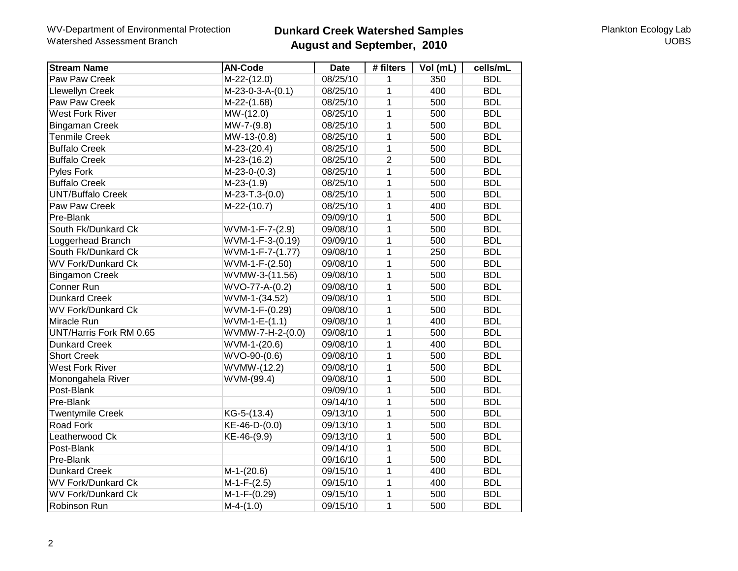### WV-Department of Environmental Protection Watershed Assessment Branch

# **Dunkard Creek Watershed Samples August and September, 2010**

Plankton Ecology Lab **UOBS** 

| <b>Stream Name</b>        | <b>AN-Code</b>     | <b>Date</b> | # filters      | Vol (mL) | cells/mL   |
|---------------------------|--------------------|-------------|----------------|----------|------------|
| Paw Paw Creek             | $M-22-(12.0)$      | 08/25/10    | 1              | 350      | <b>BDL</b> |
| <b>Llewellyn Creek</b>    | $M-23-0-3-A-(0.1)$ | 08/25/10    | 1              | 400      | <b>BDL</b> |
| Paw Paw Creek             | $M-22-(1.68)$      | 08/25/10    | $\overline{1}$ | 500      | <b>BDL</b> |
| <b>West Fork River</b>    | MW-(12.0)          | 08/25/10    | $\mathbf 1$    | 500      | <b>BDL</b> |
| <b>Bingaman Creek</b>     | $MW-7-(9.8)$       | 08/25/10    | $\mathbf 1$    | 500      | <b>BDL</b> |
| <b>Tenmile Creek</b>      | $MW-13-(0.8)$      | 08/25/10    | 1              | 500      | <b>BDL</b> |
| <b>Buffalo Creek</b>      | $M-23-(20.4)$      | 08/25/10    | 1              | 500      | <b>BDL</b> |
| <b>Buffalo Creek</b>      | $M-23-(16.2)$      | 08/25/10    | $\overline{2}$ | 500      | <b>BDL</b> |
| Pyles Fork                | $M-23-0-(0.3)$     | 08/25/10    | 1              | 500      | <b>BDL</b> |
| <b>Buffalo Creek</b>      | $M-23-(1.9)$       | 08/25/10    | $\mathbf{1}$   | 500      | <b>BDL</b> |
| <b>UNT/Buffalo Creek</b>  | $M-23-T.3-(0.0)$   | 08/25/10    | 1              | 500      | <b>BDL</b> |
| Paw Paw Creek             | $M-22-(10.7)$      | 08/25/10    | $\mathbf{1}$   | 400      | <b>BDL</b> |
| Pre-Blank                 |                    | 09/09/10    | 1              | 500      | <b>BDL</b> |
| South Fk/Dunkard Ck       | WVM-1-F-7-(2.9)    | 09/08/10    | $\mathbf 1$    | 500      | <b>BDL</b> |
| Loggerhead Branch         | WVM-1-F-3-(0.19)   | 09/09/10    | 1              | 500      | <b>BDL</b> |
| South Fk/Dunkard Ck       | $WVM-1-F-7-(1.77)$ | 09/08/10    | 1              | 250      | <b>BDL</b> |
| <b>WV Fork/Dunkard Ck</b> | WVM-1-F-(2.50)     | 09/08/10    | $\mathbf{1}$   | 500      | <b>BDL</b> |
| <b>Bingamon Creek</b>     | WVMW-3-(11.56)     | 09/08/10    | 1              | 500      | <b>BDL</b> |
| Conner Run                | WVO-77-A-(0.2)     | 09/08/10    | 1              | 500      | <b>BDL</b> |
| <b>Dunkard Creek</b>      | WVM-1-(34.52)      | 09/08/10    | 1              | 500      | <b>BDL</b> |
| <b>WV Fork/Dunkard Ck</b> | WVM-1-F-(0.29)     | 09/08/10    | 1              | 500      | <b>BDL</b> |
| Miracle Run               | WVM-1-E-(1.1)      | 09/08/10    | 1              | 400      | <b>BDL</b> |
| UNT/Harris Fork RM 0.65   | WVMW-7-H-2-(0.0)   | 09/08/10    | 1              | 500      | <b>BDL</b> |
| <b>Dunkard Creek</b>      | $WVM-1-(20.6)$     | 09/08/10    | $\mathbf 1$    | 400      | <b>BDL</b> |
| <b>Short Creek</b>        | $WVO-90-(0.6)$     | 09/08/10    | $\mathbf 1$    | 500      | <b>BDL</b> |
| <b>West Fork River</b>    | WVMW-(12.2)        | 09/08/10    | $\mathbf{1}$   | 500      | <b>BDL</b> |
| Monongahela River         | WVM-(99.4)         | 09/08/10    | $\overline{1}$ | 500      | <b>BDL</b> |
| Post-Blank                |                    | 09/09/10    | $\mathbf 1$    | 500      | <b>BDL</b> |
| Pre-Blank                 |                    | 09/14/10    | 1              | 500      | <b>BDL</b> |
| <b>Twentymile Creek</b>   | KG-5-(13.4)        | 09/13/10    | $\mathbf 1$    | 500      | <b>BDL</b> |
| Road Fork                 | KE-46-D-(0.0)      | 09/13/10    | $\mathbf 1$    | 500      | <b>BDL</b> |
| Leatherwood Ck            | KE-46-(9.9)        | 09/13/10    | $\mathbf 1$    | 500      | <b>BDL</b> |
| Post-Blank                |                    | 09/14/10    | 1              | 500      | <b>BDL</b> |
| Pre-Blank                 |                    | 09/16/10    | 1              | 500      | <b>BDL</b> |
| <b>Dunkard Creek</b>      | $M-1-(20.6)$       | 09/15/10    | $\mathbf 1$    | 400      | <b>BDL</b> |
| <b>WV Fork/Dunkard Ck</b> | $M-1-F-(2.5)$      | 09/15/10    | $\mathbf{1}$   | 400      | <b>BDL</b> |
| <b>WV Fork/Dunkard Ck</b> | $M-1-F-(0.29)$     | 09/15/10    | $\mathbf{1}$   | 500      | <b>BDL</b> |
| Robinson Run              | $M-4-(1.0)$        | 09/15/10    | $\mathbf{1}$   | 500      | <b>BDL</b> |